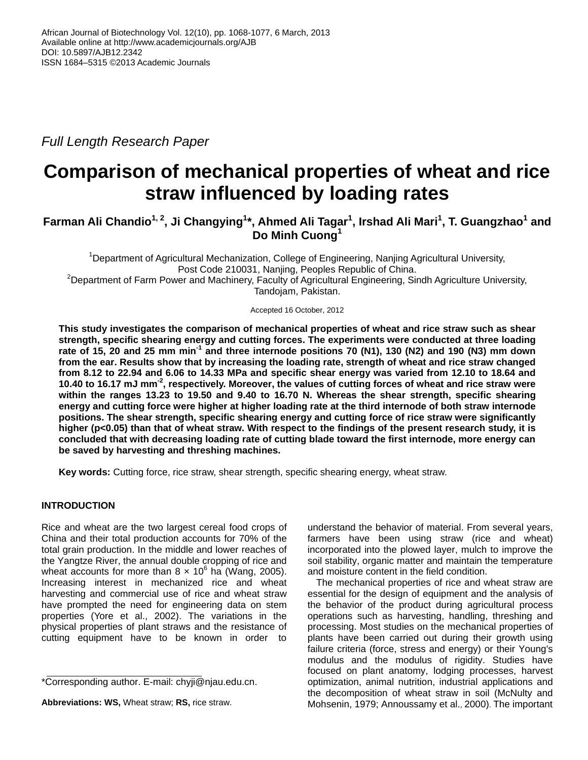*Full Length Research Paper*

# **Comparison of mechanical properties of wheat and rice straw influenced by loading rates**

## **Farman Ali Chandio1, 2, Ji Changying<sup>1</sup> \*, Ahmed Ali Tagar<sup>1</sup> , Irshad Ali Mari<sup>1</sup> , T. Guangzhao<sup>1</sup> and Do Minh Cuong<sup>1</sup>**

<sup>1</sup>Department of Agricultural Mechanization, College of Engineering, Nanjing Agricultural University, Post Code 210031, Nanjing, Peoples Republic of China. <sup>2</sup>Department of Farm Power and Machinery, Faculty of Agricultural Engineering, Sindh Agriculture University, Tandojam, Pakistan.

Accepted 16 October, 2012

**This study investigates the comparison of mechanical properties of wheat and rice straw such as shear strength, specific shearing energy and cutting forces. The experiments were conducted at three loading rate of 15, 20 and 25 mm min-1 and three internode positions 70 (N1), 130 (N2) and 190 (N3) mm down from the ear. Results show that by increasing the loading rate, strength of wheat and rice straw changed from 8.12 to 22.94 and 6.06 to 14.33 MPa and specific shear energy was varied from 12.10 to 18.64 and 10.40 to 16.17 mJ mm-2 , respectively. Moreover, the values of cutting forces of wheat and rice straw were within the ranges 13.23 to 19.50 and 9.40 to 16.70 N. Whereas the shear strength, specific shearing energy and cutting force were higher at higher loading rate at the third internode of both straw internode positions. The shear strength, specific shearing energy and cutting force of rice straw were significantly higher (p<0.05) than that of wheat straw. With respect to the findings of the present research study, it is concluded that with decreasing loading rate of cutting blade toward the first internode, more energy can be saved by harvesting and threshing machines.**

**Key words:** Cutting force, rice straw, shear strength, specific shearing energy, wheat straw.

## **INTRODUCTION**

Rice and wheat are the two largest cereal food crops of China and their total production accounts for 70% of the total grain production. In the middle and lower reaches of the Yangtze River, the annual double cropping of rice and wheat accounts for more than  $8 \times 10^6$  ha (Wang, 2005). Increasing interest in mechanized rice and wheat harvesting and commercial use of rice and wheat straw have prompted the need for engineering data on stem properties (Yore et al., 2002). The variations in the physical properties of plant straws and the resistance of cutting equipment have to be known in order to

understand the behavior of material. From several years, farmers have been using straw (rice and wheat) incorporated into the plowed layer, mulch to improve the soil stability, organic matter and maintain the temperature and moisture content in the field condition.

The mechanical properties of rice and wheat straw are essential for the design of equipment and the analysis of the behavior of the product during agricultural process operations such as harvesting, handling, threshing and processing. Most studies on the mechanical properties of plants have been carried out during their growth using failure criteria (force, stress and energy) or their Young's modulus and the modulus of rigidity. Studies have focused on plant anatomy, lodging processes, harvest optimization, animal nutrition, industrial applications and the decomposition of wheat straw in soil (McNulty and Mohsenin, 1979; Annoussamy et al., 2000). The important

<sup>\*</sup>Corresponding author. E-mail: [chyji@njau.edu.cn.](mailto:chyji@njau.edu.cn)

**Abbreviations: WS,** Wheat straw; **RS,** rice straw.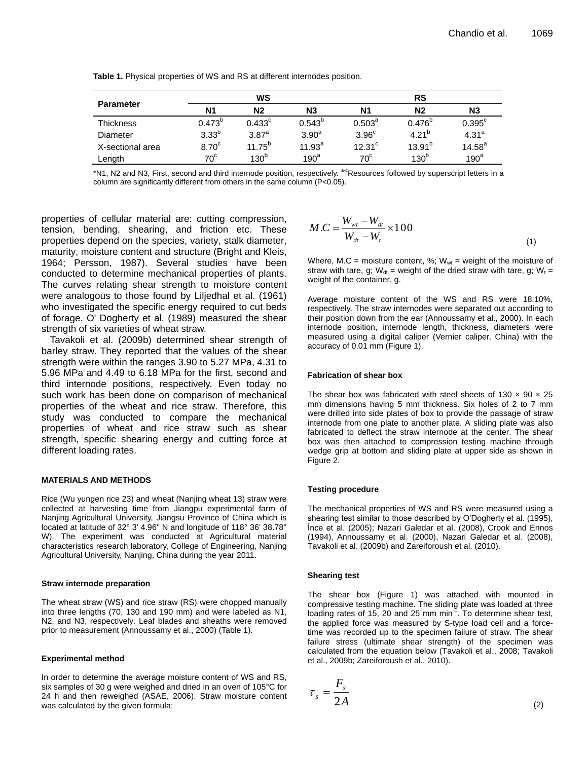|                  | WS                |                   |                    | <b>RS</b>            |                  |                   |
|------------------|-------------------|-------------------|--------------------|----------------------|------------------|-------------------|
| <b>Parameter</b> | N <sub>1</sub>    | N <sub>2</sub>    | N <sub>3</sub>     | <b>N1</b>            | Ν2               | N3                |
| <b>Thickness</b> | $0.473^{b}$       | $0.433^{\circ}$   | $0.543^{b}$        | $0.503^{\circ}$      | $0.476^{b}$      | $0.395^{\circ}$   |
| Diameter         | $3.33^{b}$        | 3.87 <sup>a</sup> | 3.90 <sup>a</sup>  | 3.96 <sup>c</sup>    | $4.21^{b}$       | 4.31 <sup>a</sup> |
| X-sectional area | 8.70 <sup>c</sup> | $11.75^{b}$       | 11.93 <sup>a</sup> | $12.31$ <sup>c</sup> | $13.91^{b}$      | $14.58^{a}$       |
| Length           | $70^{\circ}$      | 130 <sup>b</sup>  | $190^a$            | $70^{\circ}$         | 130 <sup>b</sup> | 190 <sup>a</sup>  |

**Table 1.** Physical properties of WS and RS at different internodes position.

\*N1, N2 and N3, First, second and third internode position, respectively. a-cResources followed by superscript letters in a column are significantly different from others in the same column (P<0.05).

properties of cellular material are: cutting compression, tension, bending, shearing, and friction etc. These properties depend on the species, variety, stalk diameter, maturity, moisture content and structure (Bright and Kleis, 1964; Persson, 1987). Several studies have been conducted to determine mechanical properties of plants. The curves relating shear strength to moisture content were analogous to those found by Liljedhal et al. (1961) who investigated the specific energy required to cut beds of forage. O' Dogherty et al. (1989) measured the shear strength of six varieties of wheat straw.

Tavakoli et al. (2009b) determined shear strength of barley straw. They reported that the values of the shear strength were within the ranges 3.90 to 5.27 MPa, 4.31 to 5.96 MPa and 4.49 to 6.18 MPa for the first, second and third internode positions, respectively. Even today no such work has been done on comparison of mechanical properties of the wheat and rice straw. Therefore, this study was conducted to compare the mechanical properties of wheat and rice straw such as shear strength, specific shearing energy and cutting force at different loading rates.

### **MATERIALS AND METHODS**

Rice (Wu yungen rice 23) and wheat (Nanjing wheat 13) straw were collected at harvesting time from Jiangpu experimental farm of Nanjing Agricultural University, Jiangsu Province of China which is located at latitude of 32° 3' 4.96'' N and longitude of 118° 36' 38.78'' W). The experiment was conducted at Agricultural material characteristics research laboratory, College of Engineering, Nanjing Agricultural University, Nanjing, China during the year 2011.

### **Straw internode preparation**

The wheat straw (WS) and rice straw (RS) were chopped manually into three lengths (70, 130 and 190 mm) and were labeled as N1, N2, and N3, respectively. Leaf blades and sheaths were removed prior to measurement (Annoussamy et al., 2000) (Table 1).

### **Experimental method**

In order to determine the average moisture content of WS and RS, six samples of 30 g were weighed and dried in an oven of 105°C for 24 h and then reweighed (ASAE, 2006). Straw moisture content was calculated by the given formula:

$$
M.C = \frac{W_{wt} - W_{dt}}{W_{dt} - W_t} \times 100
$$
\n(1)

Where, M.C = moisture content, %;  $W_{wt}$  = weight of the moisture of straw with tare, g;  $W_{dt}$  = weight of the dried straw with tare, g;  $W_t$  = weight of the container, g.

Average moisture content of the WS and RS were 18.10%, respectively. The straw internodes were separated out according to their position down from the ear (Annoussamy et al., 2000). In each internode position, internode length, thickness, diameters were measured using a digital caliper (Vernier caliper, China) with the accuracy of 0.01 mm (Figure 1).

## **Fabrication of shear box**

The shear box was fabricated with steel sheets of 130  $\times$  90  $\times$  25 mm dimensions having 5 mm thickness. Six holes of 2 to 7 mm were drilled into side plates of box to provide the passage of straw internode from one plate to another plate. A sliding plate was also fabricated to deflect the straw internode at the center. The shear box was then attached to compression testing machine through wedge grip at bottom and sliding plate at upper side as shown in Figure 2.

### **Testing procedure**

The mechanical properties of WS and RS were measured using a shearing test similar to those described by O'Dogherty et al. (1995), İnce et al. (2005); Nazari Galedar et al. (2008), Crook and Ennos (1994), Annoussamy et al. (2000), Nazari Galedar et al. (2008), Tavakoli et al. (2009b) and Zareiforoush et al. (2010).

### **Shearing test**

 $\tau$ 

The shear box (Figure 1) was attached with mounted in compressive testing machine. The sliding plate was loaded at three loading rates of 15, 20 and 25 mm min<sup>-1</sup>. To determine shear test, the applied force was measured by S-type load cell and a forcetime was recorded up to the specimen failure of straw. The shear failure stress (ultimate shear strength) of the specimen was calculated from the equation below (Tavakoli et al., 2008; Tavakoli et al., 2009b; Zareiforoush et al., 2010).

$$
s = \frac{F_s}{2A} \tag{2}
$$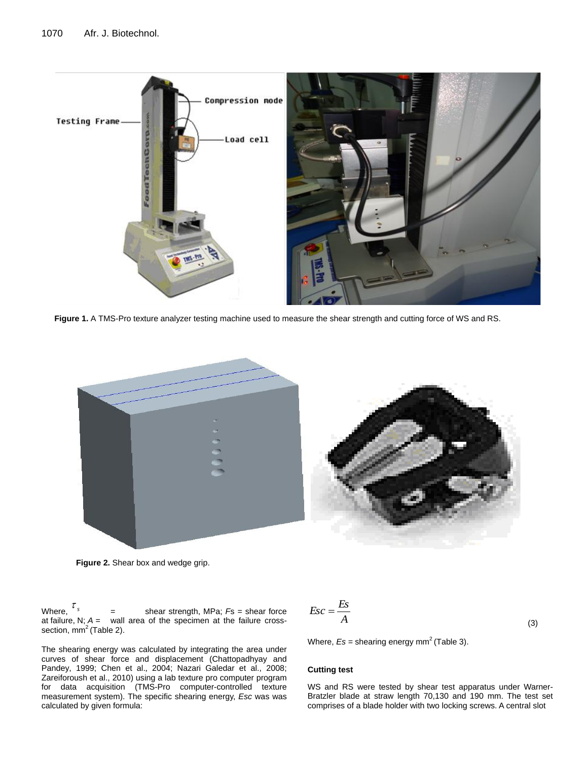

**Figure 1.** A TMS-Pro texture analyzer testing machine used to measure the shear strength and cutting force of WS and RS.



**Figure 2.** Shear box and wedge grip.

calculated by given formula:

Where,  $\tau_{\rm s}$ shear strength, MPa;  $Fs$  = shear force at failure, N; *A =* wall area of the specimen at the failure crosssection,  $mm<sup>2</sup>$  (Table 2).

The shearing energy was calculated by integrating the area under curves of shear force and displacement (Chattopadhyay and Pandey, 1999; Chen et al., 2004; Nazari Galedar et al., 2008; Zareiforoush et al., 2010) using a lab texture pro computer program for data acquisition (TMS-Pro computer-controlled texture measurement system). The specific shearing energy, *Esc* was was

$$
Esc = \frac{Es}{A}
$$

(3)

Where,  $Es =$  shearing energy mm<sup>2</sup> (Table 3).

## **Cutting test**

WS and RS were tested by shear test apparatus under Warner-Bratzler blade at straw length 70,130 and 190 mm. The test set comprises of a blade holder with two locking screws. A central slot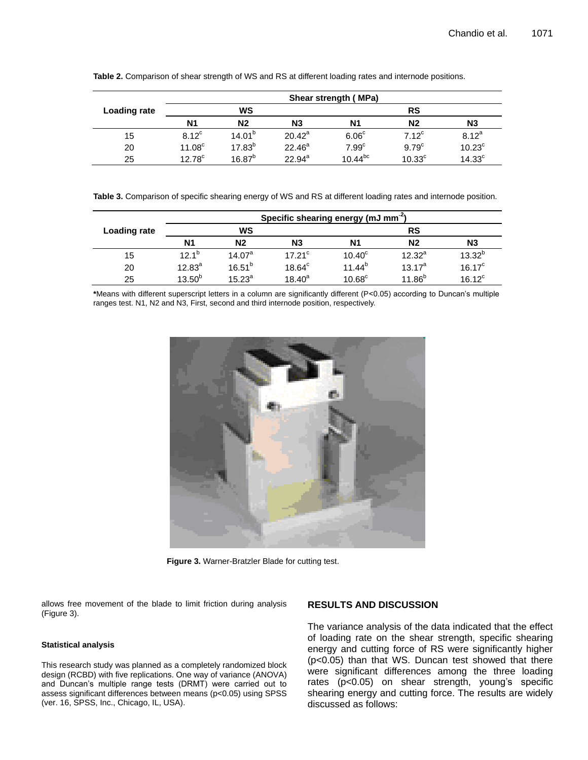|                     | Shear strength (MPa) |                |                |                   |                    |                    |
|---------------------|----------------------|----------------|----------------|-------------------|--------------------|--------------------|
| <b>Loading rate</b> | WS                   |                |                | <b>RS</b>         |                    |                    |
|                     | N1                   | N <sub>2</sub> | N <sub>3</sub> | N1                | N <sub>2</sub>     | N <sub>3</sub>     |
| 15                  | $8.12^{\circ}$       | $14.01^{b}$    | $20.42^a$      | 6.06 <sup>c</sup> | $7.12^c$           | $8.12^{a}$         |
| 20                  | 11.08 <sup>c</sup>   | $17.83^{b}$    | $22.46^a$      | 7.99 <sup>c</sup> | 9.79 <sup>c</sup>  | $10.23^{\circ}$    |
| 25                  | 12.78 <sup>c</sup>   | $16.87^{b}$    | $22.94^a$      | 10.44 $^{\rm bc}$ | 10.33 <sup>c</sup> | 14.33 <sup>c</sup> |

**Table 2.** Comparison of shear strength of WS and RS at different loading rates and internode positions.

**Table 3.** Comparison of specific shearing energy of WS and RS at different loading rates and internode position.

|              | Specific shearing energy (mJ mm <sup>-2</sup> ) |                    |                 |                 |                |                 |
|--------------|-------------------------------------------------|--------------------|-----------------|-----------------|----------------|-----------------|
| Loading rate | WS                                              |                    |                 | RS              |                |                 |
|              | Ν1                                              | N <sub>2</sub>     | N <sub>3</sub>  | Ν1              | N <sub>2</sub> | N3              |
| 15           | $12.1^{b}$                                      | 14.07 <sup>a</sup> | $17.21^{\circ}$ | $10.40^{\circ}$ | $12.32^{a}$    | $13.32^{b}$     |
| 20           | $12.83^{a}$                                     | $16.51^{b}$        | $18.64^{\circ}$ | $11.44^{b}$     | $13.17^a$      | $16.17^{\circ}$ |
| 25           | $13.50^{b}$                                     | $15.23^{a}$        | $18.40^{a}$     | $10.68^{\circ}$ | $11.86^{b}$    | $16.12^c$       |

**\***Means with different superscript letters in a column are significantly different (P˂0.05) according to Duncan's multiple ranges test. N1, N2 and N3, First, second and third internode position, respectively.



**Figure 3.** Warner-Bratzler Blade for cutting test.

allows free movement of the blade to limit friction during analysis (Figure 3).

### **Statistical analysis**

This research study was planned as a completely randomized block design (RCBD) with five replications. One way of variance (ANOVA) and Duncan's multiple range tests (DRMT) were carried out to assess significant differences between means (p<0.05) using SPSS (ver. 16, SPSS, Inc., Chicago, IL, USA).

## **RESULTS AND DISCUSSION**

The variance analysis of the data indicated that the effect of loading rate on the shear strength, specific shearing energy and cutting force of RS were significantly higher (p<0.05) than that WS. Duncan test showed that there were significant differences among the three loading rates (p<0.05) on shear strength, young's specific shearing energy and cutting force. The results are widely discussed as follows: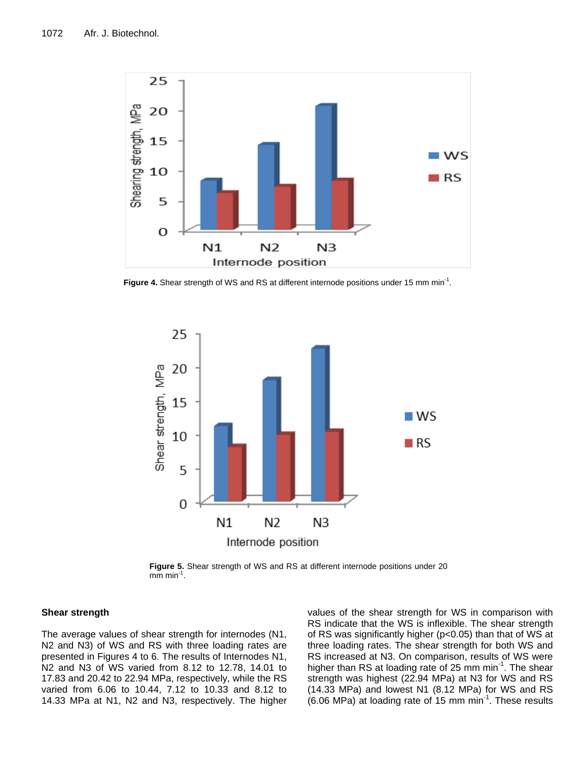

Figure 4. Shear strength of WS and RS at different internode positions under 15 mm min<sup>-1</sup>.



**Figure 5.** Shear strength of WS and RS at different internode positions under 20  $\mathsf{m}\mathsf{m}\mathsf{m}\mathsf{m}$  min<sup>-1</sup>.

## **Shear strength**

The average values of shear strength for internodes (N1, N2 and N3) of WS and RS with three loading rates are presented in Figures 4 to 6. The results of Internodes N1, N2 and N3 of WS varied from 8.12 to 12.78, 14.01 to 17.83 and 20.42 to 22.94 MPa, respectively, while the RS varied from 6.06 to 10.44, 7.12 to 10.33 and 8.12 to 14.33 MPa at N1, N2 and N3, respectively. The higher values of the shear strength for WS in comparison with RS indicate that the WS is inflexible. The shear strength of RS was significantly higher (p<0.05) than that of WS at three loading rates. The shear strength for both WS and RS increased at N3. On comparison, results of WS were higher than RS at loading rate of 25 mm min<sup>-1</sup>. The shear strength was highest (22.94 MPa) at N3 for WS and RS (14.33 MPa) and lowest N1 (8.12 MPa) for WS and RS  $(6.06 \text{ MPa})$  at loading rate of 15 mm min<sup>-1</sup>. These results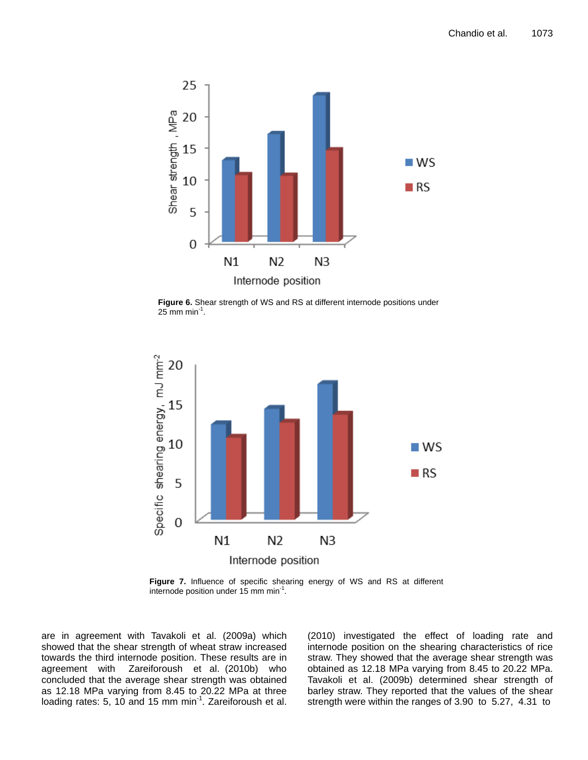

**Figure 6.** Shear strength of WS and RS at different internode positions under  $25$  mm min<sup>-1</sup>.



**Figure 7.** Influence of specific shearing energy of WS and RS at different internode position under 15 mm min<sup>-1</sup>.

are in agreement with Tavakoli et al. (2009a) which showed that the shear strength of wheat straw increased towards the third internode position. These results are in agreement with Zareiforoush et al. (2010b) who concluded that the average shear strength was obtained as 12.18 MPa varying from 8.45 to 20.22 MPa at three loading rates: 5, 10 and 15 mm min<sup>-1</sup>. Zareiforoush et al.

(2010) investigated the effect of loading rate and internode position on the shearing characteristics of rice straw. They showed that the average shear strength was obtained as 12.18 MPa varying from 8.45 to 20.22 MPa. Tavakoli et al. (2009b) determined shear strength of barley straw. They reported that the values of the shear strength were within the ranges of 3.90 to 5.27, 4.31 to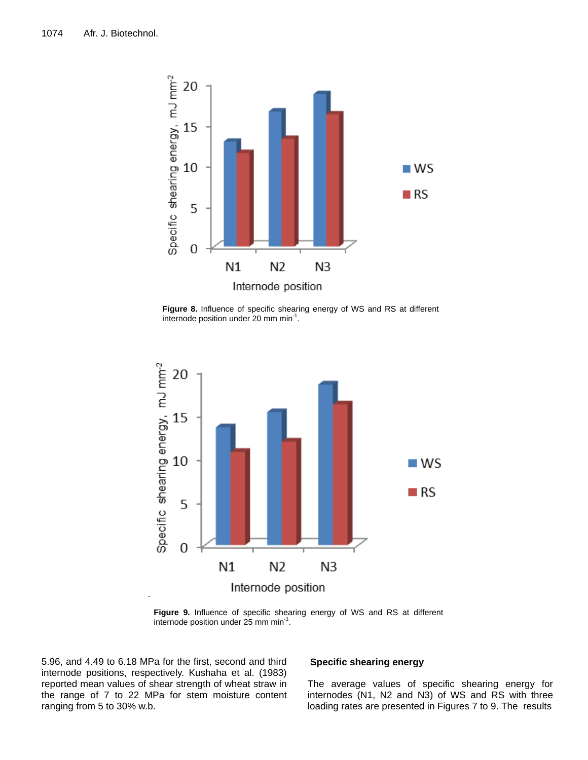

**Figure 8.** Influence of specific shearing energy of WS and RS at different internode position under 20 mm min<sup>-1</sup>.



**Figure 9.** Influence of specific shearing energy of WS and RS at different internode position under 25 mm min<sup>-1</sup>.

5.96, and 4.49 to 6.18 MPa for the first, second and third internode positions, respectively. Kushaha et al. (1983) reported mean values of shear strength of wheat straw in the range of 7 to 22 MPa for stem moisture content ranging from 5 to 30% w.b.

## **Specific shearing energy**

The average values of specific shearing energy for internodes (N1, N2 and N3) of WS and RS with three loading rates are presented in Figures 7 to 9. The results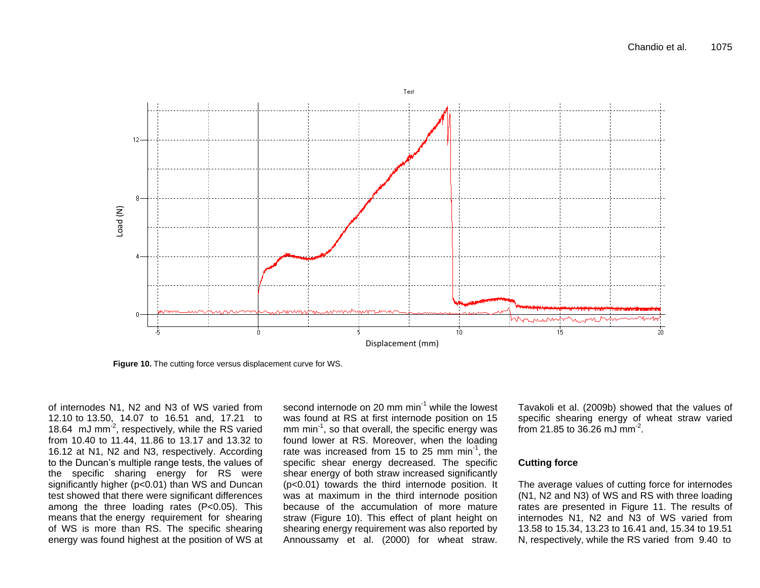

**Figure 10.** The cutting force versus displacement curve for WS.

of internodes N1, N2 and N3 of WS varied from 12.10 to 13.50, 14.07 to 16.51 and, 17.21 to 18.64  $\,$  mJ mm<sup>-2</sup>, respectively, while the RS varied from 10.40 to 11.44, 11.86 to 13.17 and 13.32 to 16.12 at N1, N2 and N3, respectively. According to the Duncan's multiple range tests, the values of the specific sharing energy for RS were significantly higher (p<0.01) than WS and Duncan test showed that there were significant differences among the three loading rates (P<0.05). This means that the energy requirement for shearing of WS is more than RS. The specific shearing energy was found highest at the position of WS at

second internode on  $20 \text{ mm min}^{-1}$  while the lowest was found at RS at first internode position on 15 mm min<sup>-1</sup>, so that overall, the specific energy was found lower at RS. Moreover, when the loading rate was increased from 15 to 25 mm min<sup>-1</sup>, the specific shear energy decreased. The specific shear energy of both straw increased significantly (p<0.01) towards the third internode position. It was at maximum in the third internode position because of the accumulation of more mature straw (Figure 10). This effect of plant height on shearing energy requirement was also reported by Annoussamy et al. (2000) for wheat straw.

Tavakoli et al. (2009b) showed that the values of specific shearing energy of wheat straw varied from 21.85 to 36.26 mJ mm<sup>-2</sup>.

## **Cutting force**

The average values of cutting force for internodes (N1, N2 and N3) of WS and RS with three loading rates are presented in Figure 11. The results of internodes N1, N2 and N3 of WS varied from 13.58 to 15.34, 13.23 to 16.41 and, 15.34 to 19.51 N, respectively, while the RS varied from 9.40 to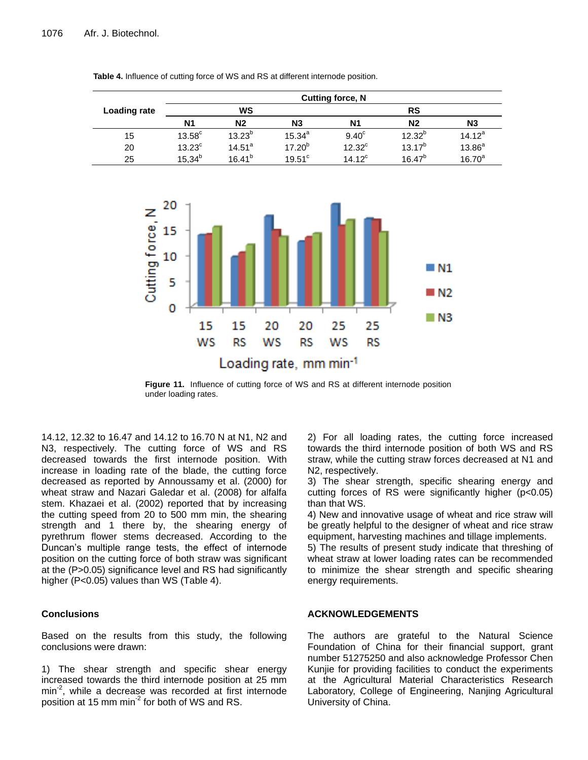|              | <b>Cutting force, N</b> |                |                      |                 |             |                |
|--------------|-------------------------|----------------|----------------------|-----------------|-------------|----------------|
| Loading rate |                         | ws             |                      |                 | <b>RS</b>   |                |
|              | N1                      | N <sub>2</sub> | N3                   | <b>N1</b>       | N2          | N <sub>3</sub> |
| 15           | $13.58^{\circ}$         | $13.23^{b}$    | $15.34^{a}$          | $9.40^{\circ}$  | $12.32^{b}$ | $14.12^a$      |
| 20           | $13.23^{\circ}$         | $14.51^a$      | $17.20^{b}$          | $12.32^{\circ}$ | $13.17^{b}$ | $13.86^{a}$    |
| 25           | $15.34^{b}$             | $16.41^{b}$    | $19.51$ <sup>c</sup> | 14 $12^{\circ}$ | $16.47^{b}$ | $16.70^{a}$    |

**Table 4.** Influence of cutting force of WS and RS at different internode position.



**Figure 11.** Influence of cutting force of WS and RS at different internode position under loading rates.

14.12, 12.32 to 16.47 and 14.12 to 16.70 N at N1, N2 and N3, respectively. The cutting force of WS and RS decreased towards the first internode position. With increase in loading rate of the blade, the cutting force decreased as reported by Annoussamy et al. (2000) for wheat straw and Nazari Galedar et al. (2008) for alfalfa stem. Khazaei et al. (2002) reported that by increasing the cutting speed from 20 to 500 mm min, the shearing strength and 1 there by, the shearing energy of pyrethrum flower stems decreased. According to the Duncan's multiple range tests, the effect of internode position on the cutting force of both straw was significant at the (P>0.05) significance level and RS had significantly higher (P<0.05) values than WS (Table 4).

## **Conclusions**

Based on the results from this study, the following conclusions were drawn:

1) The shear strength and specific shear energy increased towards the third internode position at 25 mm min<sup>-2</sup>, while a decrease was recorded at first internode position at 15 mm min<sup>-2</sup> for both of WS and RS.

2) For all loading rates, the cutting force increased towards the third internode position of both WS and RS straw, while the cutting straw forces decreased at N1 and N2, respectively.

3) The shear strength, specific shearing energy and cutting forces of RS were significantly higher (p<0.05) than that WS.

4) New and innovative usage of wheat and rice straw will be greatly helpful to the designer of wheat and rice straw equipment, harvesting machines and tillage implements.

5) The results of present study indicate that threshing of wheat straw at lower loading rates can be recommended to minimize the shear strength and specific shearing energy requirements.

## **ACKNOWLEDGEMENTS**

The authors are grateful to the Natural Science Foundation of China for their financial support, grant number 51275250 and also acknowledge Professor Chen Kunjie for providing facilities to conduct the experiments at the Agricultural Material Characteristics Research Laboratory, College of Engineering, Nanjing Agricultural University of China.